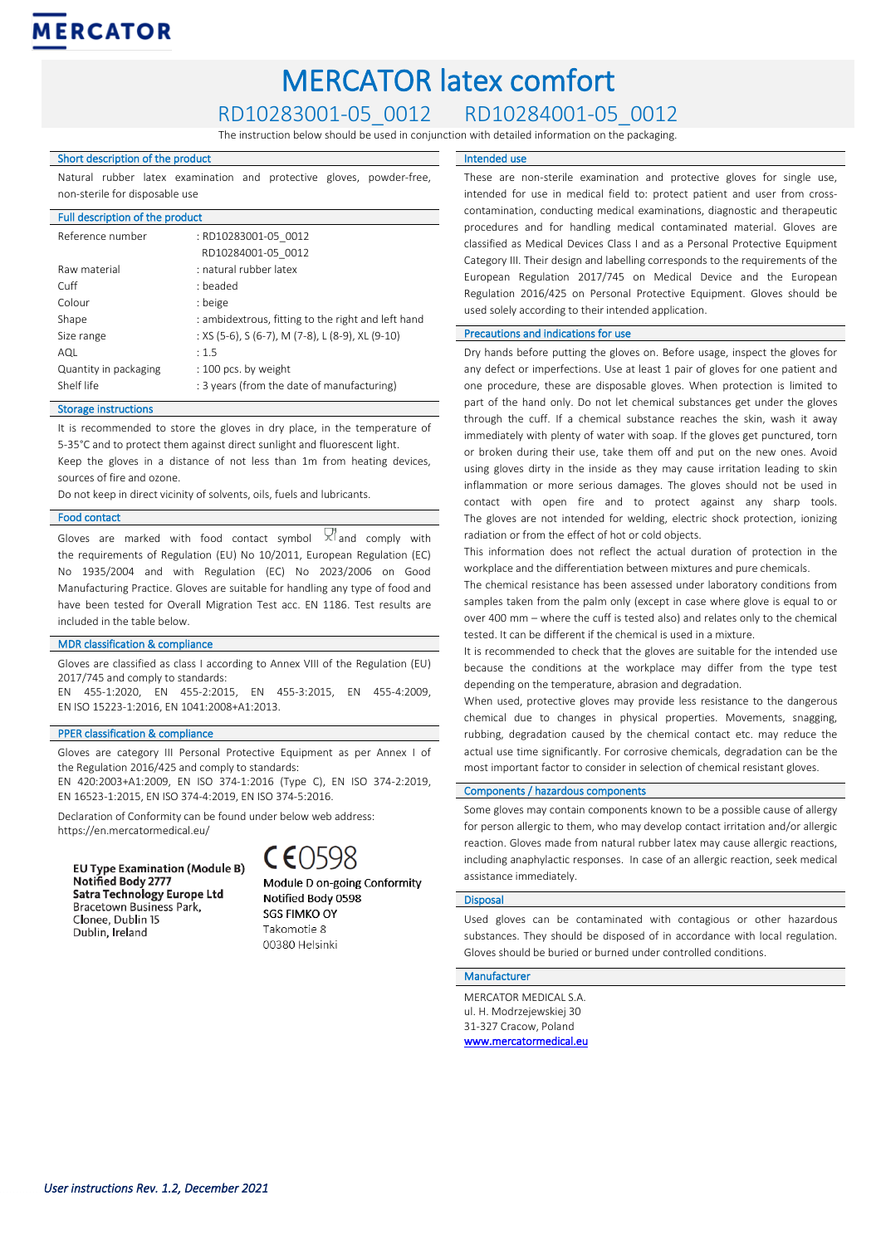# MERCATOR latex comfort

RD10283001-05\_0012 RD10284001-05\_0012

The instruction below should be used in conjunction with detailed information on the packaging.

## Short description of the product

Natural rubber latex examination and protective gloves, powder-free, non-sterile for disposable use

## Full description of the product

| Reference number      | : RD10283001-05 0012                               |
|-----------------------|----------------------------------------------------|
|                       | RD10284001-05 0012                                 |
| Raw material          | : natural rubber latex                             |
| Cuff                  | · beaded                                           |
| Colour                | : beige                                            |
| Shape                 | : ambidextrous, fitting to the right and left hand |
| Size range            | : XS (5-6), S (6-7), M (7-8), L (8-9), XL (9-10)   |
| AQL                   | : 1.5                                              |
| Quantity in packaging | : 100 pcs. by weight                               |
| Shelf life            | : 3 years (from the date of manufacturing)         |

### Storage instructions

It is recommended to store the gloves in dry place, in the temperature of 5-35°C and to protect them against direct sunlight and fluorescent light.

Keep the gloves in a distance of not less than 1m from heating devices, sources of fire and ozone.

Do not keep in direct vicinity of solvents, oils, fuels and lubricants.

#### Food contact

Gloves are marked with food contact symbol  $\frac{1}{2}$  and comply with the requirements of Regulation (EU) No 10/2011, European Regulation (EC) No 1935/2004 and with Regulation (EC) No 2023/2006 on Good Manufacturing Practice. Gloves are suitable for handling any type of food and have been tested for Overall Migration Test acc. EN 1186. Test results are included in the table below.

# MDR classification & compliance

Gloves are classified as class I according to Annex VIII of the Regulation (EU) 2017/745 and comply to standards:

EN 455-1:2020, EN 455-2:2015, EN 455-3:2015, EN 455-4:2009, EN ISO 15223-1:2016, EN 1041:2008+A1:2013.

#### PPER classification & compliance

Gloves are category III Personal Protective Equipment as per Annex I of the Regulation 2016/425 and comply to standards:

EN 420:2003+A1:2009, EN ISO 374-1:2016 (Type C), EN ISO 374-2:2019, EN 16523-1:2015, EN ISO 374-4:2019, EN ISO 374-5:2016.

Declaration of Conformity can be found under below web address: https://en.mercatormedical.eu/

**EU Type Examination (Module B)** Notified Body 2777 Satra Technology Europe Ltd Bracetown Business Park, Clonee, Dublin 15 Dublin, Ireland



Module D on-going Conformity Notified Body 0598 **SGS FIMKO OY** Takomotie 8 00380 Helsinki

#### Intended use

These are non-sterile examination and protective gloves for single use, intended for use in medical field to: protect patient and user from crosscontamination, conducting medical examinations, diagnostic and therapeutic procedures and for handling medical contaminated material. Gloves are classified as Medical Devices Class I and as a Personal Protective Equipment Category III. Their design and labelling corresponds to the requirements of the European Regulation 2017/745 on Medical Device and the European Regulation 2016/425 on Personal Protective Equipment. Gloves should be used solely according to their intended application.

# Precautions and indications for use

Dry hands before putting the gloves on. Before usage, inspect the gloves for any defect or imperfections. Use at least 1 pair of gloves for one patient and one procedure, these are disposable gloves. When protection is limited to part of the hand only. Do not let chemical substances get under the gloves through the cuff. If a chemical substance reaches the skin, wash it away immediately with plenty of water with soap. If the gloves get punctured, torn or broken during their use, take them off and put on the new ones. Avoid using gloves dirty in the inside as they may cause irritation leading to skin inflammation or more serious damages. The gloves should not be used in contact with open fire and to protect against any sharp tools. The gloves are not intended for welding, electric shock protection, ionizing radiation or from the effect of hot or cold objects.

This information does not reflect the actual duration of protection in the workplace and the differentiation between mixtures and pure chemicals.

The chemical resistance has been assessed under laboratory conditions from samples taken from the palm only (except in case where glove is equal to or over 400 mm – where the cuff is tested also) and relates only to the chemical tested. It can be different if the chemical is used in a mixture.

It is recommended to check that the gloves are suitable for the intended use because the conditions at the workplace may differ from the type test depending on the temperature, abrasion and degradation.

When used, protective gloves may provide less resistance to the dangerous chemical due to changes in physical properties. Movements, snagging, rubbing, degradation caused by the chemical contact etc. may reduce the actual use time significantly. For corrosive chemicals, degradation can be the most important factor to consider in selection of chemical resistant gloves.

#### Components / hazardous components

Some gloves may contain components known to be a possible cause of allergy for person allergic to them, who may develop contact irritation and/or allergic reaction. Gloves made from natural rubber latex may cause allergic reactions, including anaphylactic responses. In case of an allergic reaction, seek medical assistance immediately.

#### Disposal

Used gloves can be contaminated with contagious or other hazardous substances. They should be disposed of in accordance with local regulation. Gloves should be buried or burned under controlled conditions.

### Manufacturer

MERCATOR MEDICAL S.A. ul. H. Modrzejewskiej 30 31-327 Cracow, Poland [www.mercatormedical.eu](http://www.mercatormedical.eu/)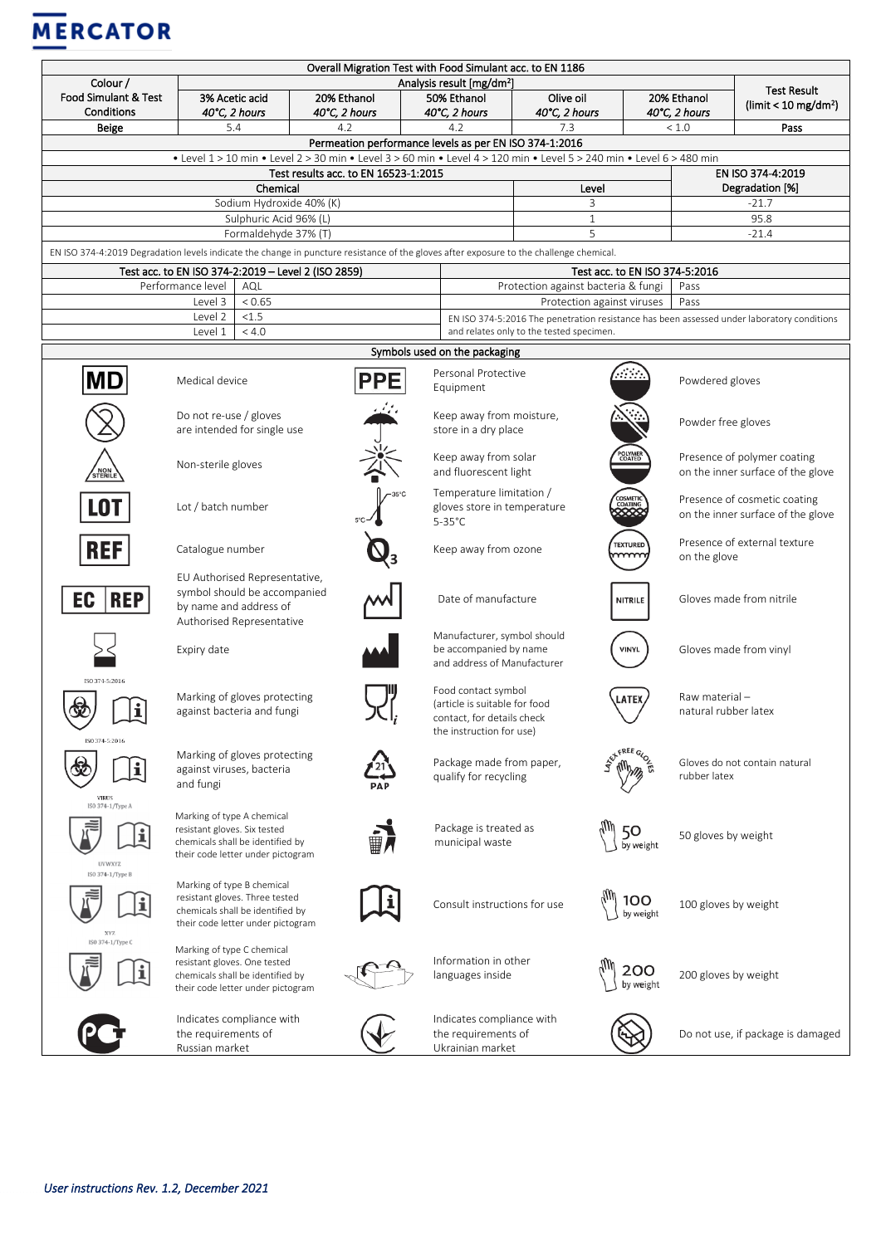# **MERCATOR**

| Overall Migration Test with Food Simulant acc. to EN 1186                                                                               |                                                                                                                                       |                                       |                                                                                                                |                                                                                            |                            |                                                                     |                                   |  |  |
|-----------------------------------------------------------------------------------------------------------------------------------------|---------------------------------------------------------------------------------------------------------------------------------------|---------------------------------------|----------------------------------------------------------------------------------------------------------------|--------------------------------------------------------------------------------------------|----------------------------|---------------------------------------------------------------------|-----------------------------------|--|--|
| Colour /<br>Food Simulant & Test                                                                                                        |                                                                                                                                       | Analysis result [mg/dm <sup>2</sup> ] |                                                                                                                |                                                                                            |                            |                                                                     |                                   |  |  |
| Conditions                                                                                                                              | 3% Acetic acid<br>40°C, 2 hours                                                                                                       | 20% Ethanol<br>40°C, 2 hours          | 50% Ethanol<br>40°C, 2 hours                                                                                   | Olive oil<br>40°C, 2 hours                                                                 |                            | 20% Ethanol<br>( $limit < 10$ mg/dm <sup>2</sup> )<br>40°C, 2 hours |                                   |  |  |
| <b>Beige</b>                                                                                                                            | 5.4                                                                                                                                   | 4.2                                   | 4.2                                                                                                            | 7.3                                                                                        |                            | < 1.0<br>Pass                                                       |                                   |  |  |
| Permeation performance levels as per EN ISO 374-1:2016                                                                                  |                                                                                                                                       |                                       |                                                                                                                |                                                                                            |                            |                                                                     |                                   |  |  |
| • Level 1 > 10 min • Level 2 > 30 min • Level 3 > 60 min • Level 4 > 120 min • Level 5 > 240 min • Level 6 > 480 min                    |                                                                                                                                       |                                       |                                                                                                                |                                                                                            |                            |                                                                     |                                   |  |  |
| Test results acc. to EN 16523-1:2015<br>EN ISO 374-4:2019                                                                               |                                                                                                                                       |                                       |                                                                                                                |                                                                                            |                            |                                                                     |                                   |  |  |
|                                                                                                                                         | Chemical                                                                                                                              |                                       |                                                                                                                | Level<br>3                                                                                 |                            | Degradation [%]<br>$-21.7$                                          |                                   |  |  |
|                                                                                                                                         | Sodium Hydroxide 40% (K)<br>Sulphuric Acid 96% (L)                                                                                    |                                       |                                                                                                                | $\mathbf{1}$                                                                               |                            | 95.8                                                                |                                   |  |  |
|                                                                                                                                         | Formaldehyde 37% (T)                                                                                                                  |                                       |                                                                                                                | 5<br>$-21.4$                                                                               |                            |                                                                     |                                   |  |  |
| EN ISO 374-4:2019 Degradation levels indicate the change in puncture resistance of the gloves after exposure to the challenge chemical. |                                                                                                                                       |                                       |                                                                                                                |                                                                                            |                            |                                                                     |                                   |  |  |
| Test acc. to EN ISO 374-2:2019 - Level 2 (ISO 2859)<br>Test acc. to EN ISO 374-5:2016                                                   |                                                                                                                                       |                                       |                                                                                                                |                                                                                            |                            |                                                                     |                                   |  |  |
| Performance level<br>AQL                                                                                                                |                                                                                                                                       |                                       |                                                                                                                | Protection against bacteria & fungi                                                        |                            |                                                                     | Pass                              |  |  |
|                                                                                                                                         | < 0.65<br>Level 3                                                                                                                     |                                       |                                                                                                                |                                                                                            | Protection against viruses |                                                                     | Pass                              |  |  |
|                                                                                                                                         | < 1.5<br>Level 2                                                                                                                      |                                       |                                                                                                                | EN ISO 374-5:2016 The penetration resistance has been assessed under laboratory conditions |                            |                                                                     |                                   |  |  |
|                                                                                                                                         | Level 1<br>< 4.0                                                                                                                      |                                       |                                                                                                                | and relates only to the tested specimen.                                                   |                            |                                                                     |                                   |  |  |
| Symbols used on the packaging                                                                                                           |                                                                                                                                       |                                       |                                                                                                                |                                                                                            |                            |                                                                     |                                   |  |  |
| MD                                                                                                                                      | Medical device                                                                                                                        | <b>PPE</b>                            | Equipment                                                                                                      | Personal Protective<br>ana.                                                                |                            | Powdered gloves                                                     |                                   |  |  |
|                                                                                                                                         | Do not re-use / gloves<br>are intended for single use                                                                                 |                                       | Keep away from moisture,<br>store in a dry place                                                               |                                                                                            |                            | Powder free gloves                                                  |                                   |  |  |
| STERILE                                                                                                                                 | Non-sterile gloves                                                                                                                    |                                       | Keep away from solar<br>and fluorescent light                                                                  |                                                                                            | POLYMER<br>COATED          | Presence of polymer coating<br>on the inner surface of the glove    |                                   |  |  |
| <b>LOT</b>                                                                                                                              | Lot / batch number                                                                                                                    |                                       | Temperature limitation /<br>$5-35^{\circ}$ C                                                                   | gloves store in temperature                                                                | .<br>COSMETIO<br>COATING   | Presence of cosmetic coating<br>on the inner surface of the glove   |                                   |  |  |
| <b>REF</b>                                                                                                                              | Catalogue number                                                                                                                      |                                       | Keep away from ozone                                                                                           |                                                                                            | <b>TEXTURED</b><br>mm      | Presence of external texture<br>on the glove                        |                                   |  |  |
| EC<br><b>REP</b>                                                                                                                        | EU Authorised Representative,<br>symbol should be accompanied<br>by name and address of<br>Authorised Representative                  |                                       | Date of manufacture                                                                                            |                                                                                            | <b>NITRILE</b>             | Gloves made from nitrile                                            |                                   |  |  |
|                                                                                                                                         | Expiry date                                                                                                                           |                                       | Manufacturer, symbol should<br>be accompanied by name<br>and address of Manufacturer                           |                                                                                            | <b>VINYL</b>               | Gloves made from vinyl                                              |                                   |  |  |
| ISO 374-5:2016<br><u>ේ</u><br>i<br>ISO 374-5:2016                                                                                       | Marking of gloves protecting<br>against bacteria and fungi                                                                            |                                       | Food contact symbol<br>(article is suitable for food<br>contact, for details check<br>the instruction for use) |                                                                                            | LATEX                      | Raw material-<br>natural rubber latex                               |                                   |  |  |
| VIRUS                                                                                                                                   | Marking of gloves protecting<br>against viruses, bacteria<br>and fungi                                                                |                                       | Package made from paper,<br>qualify for recycling                                                              |                                                                                            | ETFREE GLOZ                | Gloves do not contain natural<br>rubber latex                       |                                   |  |  |
| ISO 374-1/Type A<br><b>UVWXYZ</b>                                                                                                       | Marking of type A chemical<br>resistant gloves. Six tested<br>chemicals shall be identified by<br>their code letter under pictogram   |                                       | Package is treated as<br>municipal waste                                                                       |                                                                                            | 50<br>by weight            | 50 gloves by weight                                                 |                                   |  |  |
| ISO 374-1/Type B<br>XY7                                                                                                                 | Marking of type B chemical<br>resistant gloves. Three tested<br>chemicals shall be identified by<br>their code letter under pictogram |                                       | Consult instructions for use                                                                                   |                                                                                            | 100<br>by weight           | 100 gloves by weight                                                |                                   |  |  |
| ISO 374-1/Type C                                                                                                                        | Marking of type C chemical<br>resistant gloves. One tested<br>chemicals shall be identified by<br>their code letter under pictogram   |                                       | Information in other<br>languages inside                                                                       |                                                                                            | 200<br>by weight           | 200 gloves by weight                                                |                                   |  |  |
|                                                                                                                                         | Indicates compliance with<br>the requirements of<br>Russian market                                                                    |                                       | Indicates compliance with<br>the requirements of<br>Ukrainian market                                           |                                                                                            |                            |                                                                     | Do not use, if package is damaged |  |  |